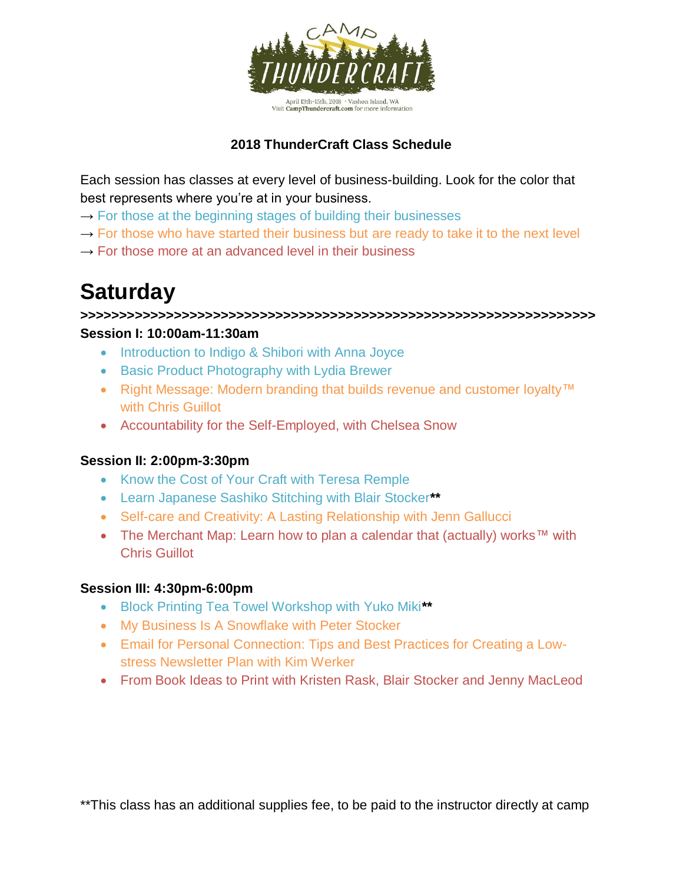

### **2018 ThunderCraft Class Schedule**

Each session has classes at every level of business-building. Look for the color that best represents where you're at in your business.

- $\rightarrow$  For those at the beginning stages of building their businesses
- $\rightarrow$  For those who have started their business but are ready to take it to the next level
- $\rightarrow$  For those more at an advanced level in their business

# **Saturday**

**>>>>>>>>>>>>>>>>>>>>>>>>>>>>>>>>>>>>>>>>>>>>>>>>>>>>>>>>>>>>>>>>>> Session I: 10:00am-11:30am**

- Introduction to Indigo & Shibori with Anna Joyce
- Basic Product Photography with Lydia Brewer
- Right Message: Modern branding that builds revenue and customer loyalty™ with Chris Guillot
- Accountability for the Self-Employed, with Chelsea Snow

#### **Session II: 2:00pm-3:30pm**

- Know the Cost of Your Craft with Teresa Remple
- Learn Japanese Sashiko Stitching with Blair Stocker**\*\***
- Self-care and Creativity: A Lasting Relationship with Jenn Gallucci
- The Merchant Map: Learn how to plan a calendar that (actually) works™ with Chris Guillot

#### **Session III: 4:30pm-6:00pm**

- Block Printing Tea Towel Workshop with Yuko Miki**\*\***
- My Business Is A Snowflake with Peter Stocker
- Email for Personal Connection: Tips and Best Practices for Creating a Lowstress Newsletter Plan with Kim Werker
- From Book Ideas to Print with Kristen Rask, Blair Stocker and Jenny MacLeod

\*\*This class has an additional supplies fee, to be paid to the instructor directly at camp